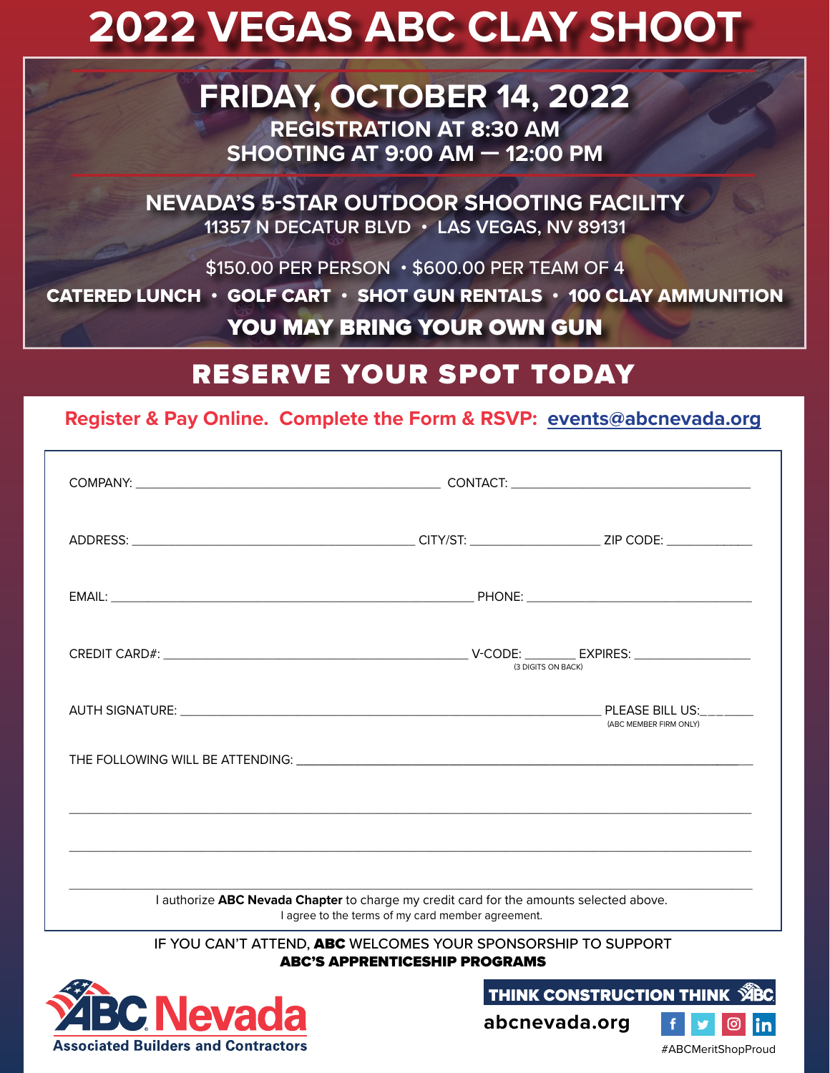# **2022 VEGAS ABC CLAY SHOOT**

**FRIDAY, OCTOBER 14, 2022 REGISTRATION AT 8:30 AM SHOOTING AT 9:00 AM — 12:00 PM**

**NEVADA'S 5-STAR OUTDOOR SHOOTING FACILITY 11357 N DECATUR BLVD • LAS VEGAS, NV 89131**

\$150.00 PER PERSON • \$600.00 PER TEAM OF 4

CATERED LUNCH • GOLF CART • SHOT GUN RENTALS • 100 CLAY AMMUNITION

YOU MAY BRING YOUR OWN GUN

# RESERVE YOUR SPOT TODAY

### **Register & Pay Online. Complete the Form & RSVP: events@abcnevada.org**

|                                                                                         | (3 DIGITS ON BACK)                                |                        |                                     |
|-----------------------------------------------------------------------------------------|---------------------------------------------------|------------------------|-------------------------------------|
|                                                                                         |                                                   | (ABC MEMBER FIRM ONLY) |                                     |
|                                                                                         |                                                   |                        |                                     |
|                                                                                         |                                                   |                        |                                     |
|                                                                                         |                                                   |                        |                                     |
| I authorize ABC Nevada Chapter to charge my credit card for the amounts selected above. | I agree to the terms of my card member agreement. |                        |                                     |
| IF YOU CAN'T ATTEND, ABC WELCOMES YOUR SPONSORSHIP TO SUPPORT                           | <b>ABC'S APPRENTICESHIP PROGRAMS</b>              |                        |                                     |
|                                                                                         |                                                   |                        | <b>THINK CONSTRUCTION THINK SEC</b> |
| <b>BC Nevada</b>                                                                        |                                                   | abcnevada.org          | $\mathbf f$                         |
| <b>Associated Builders and Contractors</b>                                              |                                                   |                        | #ARCMoritShonDroud                  |

#ABCMeritShopProud